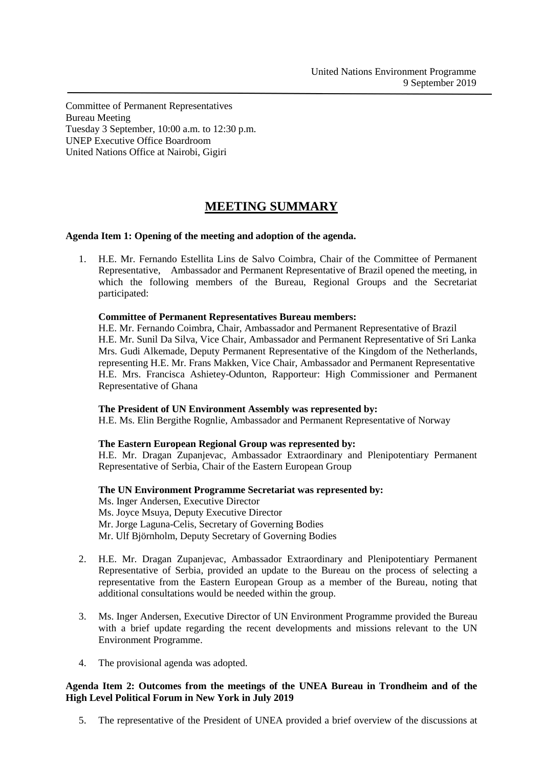Committee of Permanent Representatives Bureau Meeting Tuesday 3 September, 10:00 a.m. to 12:30 p.m. UNEP Executive Office Boardroom United Nations Office at Nairobi, Gigiri

# **MEETING SUMMARY**

## **Agenda Item 1: Opening of the meeting and adoption of the agenda.**

1. H.E. Mr. Fernando Estellita Lins de Salvo Coimbra, Chair of the Committee of Permanent Representative, Ambassador and Permanent Representative of Brazil opened the meeting, in which the following members of the Bureau, Regional Groups and the Secretariat participated:

#### **Committee of Permanent Representatives Bureau members:**

H.E. Mr. Fernando Coimbra, Chair, Ambassador and Permanent Representative of Brazil H.E. Mr. Sunil Da Silva, Vice Chair, Ambassador and Permanent Representative of Sri Lanka Mrs. Gudi Alkemade, Deputy Permanent Representative of the Kingdom of the Netherlands, representing H.E. Mr. Frans Makken, Vice Chair, Ambassador and Permanent Representative H.E. Mrs. Francisca Ashietey-Odunton, Rapporteur: High Commissioner and Permanent Representative of Ghana

#### **The President of UN Environment Assembly was represented by:**

H.E. Ms. Elin Bergithe Rognlie, Ambassador and Permanent Representative of Norway

## **The Eastern European Regional Group was represented by:**

H.E. Mr. Dragan Zupanjevac, Ambassador Extraordinary and Plenipotentiary Permanent Representative of Serbia, Chair of the Eastern European Group

## **The UN Environment Programme Secretariat was represented by:**

Ms. Inger Andersen, Executive Director Ms. Joyce Msuya, Deputy Executive Director Mr. Jorge Laguna-Celis, Secretary of Governing Bodies Mr. Ulf Björnholm, Deputy Secretary of Governing Bodies

- 2. H.E. Mr. Dragan Zupanjevac, Ambassador Extraordinary and Plenipotentiary Permanent Representative of Serbia, provided an update to the Bureau on the process of selecting a representative from the Eastern European Group as a member of the Bureau, noting that additional consultations would be needed within the group.
- 3. Ms. Inger Andersen, Executive Director of UN Environment Programme provided the Bureau with a brief update regarding the recent developments and missions relevant to the UN Environment Programme.
- 4. The provisional agenda was adopted.

## **Agenda Item 2: Outcomes from the meetings of the UNEA Bureau in Trondheim and of the High Level Political Forum in New York in July 2019**

5. The representative of the President of UNEA provided a brief overview of the discussions at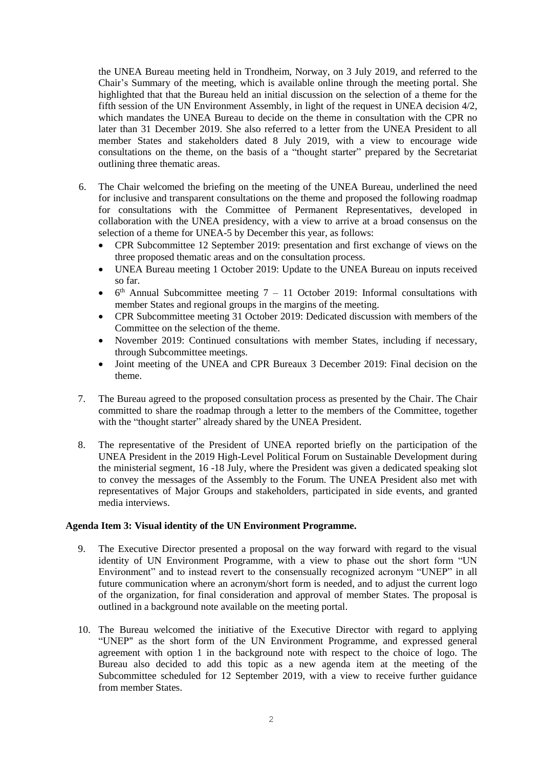the UNEA Bureau meeting held in Trondheim, Norway, on 3 July 2019, and referred to the Chair's Summary of the meeting, which is available online through the meeting portal. She highlighted that that the Bureau held an initial discussion on the selection of a theme for the fifth session of the UN Environment Assembly, in light of the request in UNEA decision 4/2, which mandates the UNEA Bureau to decide on the theme in consultation with the CPR no later than 31 December 2019. She also referred to a letter from the UNEA President to all member States and stakeholders dated 8 July 2019, with a view to encourage wide consultations on the theme, on the basis of a "thought starter" prepared by the Secretariat outlining three thematic areas.

- 6. The Chair welcomed the briefing on the meeting of the UNEA Bureau, underlined the need for inclusive and transparent consultations on the theme and proposed the following roadmap for consultations with the Committee of Permanent Representatives, developed in collaboration with the UNEA presidency, with a view to arrive at a broad consensus on the selection of a theme for UNEA-5 by December this year, as follows:
	- CPR Subcommittee 12 September 2019: presentation and first exchange of views on the three proposed thematic areas and on the consultation process.
	- UNEA Bureau meeting 1 October 2019: Update to the UNEA Bureau on inputs received so far.
	- $\bullet$  6<sup>th</sup> Annual Subcommittee meeting 7 11 October 2019: Informal consultations with member States and regional groups in the margins of the meeting.
	- CPR Subcommittee meeting 31 October 2019: Dedicated discussion with members of the Committee on the selection of the theme.
	- November 2019: Continued consultations with member States, including if necessary, through Subcommittee meetings.
	- Joint meeting of the UNEA and CPR Bureaux 3 December 2019: Final decision on the theme.
- 7. The Bureau agreed to the proposed consultation process as presented by the Chair. The Chair committed to share the roadmap through a letter to the members of the Committee, together with the "thought starter" already shared by the UNEA President.
- 8. The representative of the President of UNEA reported briefly on the participation of the UNEA President in the 2019 High-Level Political Forum on Sustainable Development during the ministerial segment, 16 -18 July, where the President was given a dedicated speaking slot to convey the messages of the Assembly to the Forum. The UNEA President also met with representatives of Major Groups and stakeholders, participated in side events, and granted media interviews.

## **Agenda Item 3: Visual identity of the UN Environment Programme.**

- 9. The Executive Director presented a proposal on the way forward with regard to the visual identity of UN Environment Programme, with a view to phase out the short form "UN Environment" and to instead revert to the consensually recognized acronym "UNEP" in all future communication where an acronym/short form is needed, and to adjust the current logo of the organization, for final consideration and approval of member States. The proposal is outlined in a background note available on the meeting portal.
- 10. The Bureau welcomed the initiative of the Executive Director with regard to applying "UNEP" as the short form of the UN Environment Programme, and expressed general agreement with option 1 in the background note with respect to the choice of logo. The Bureau also decided to add this topic as a new agenda item at the meeting of the Subcommittee scheduled for 12 September 2019, with a view to receive further guidance from member States.